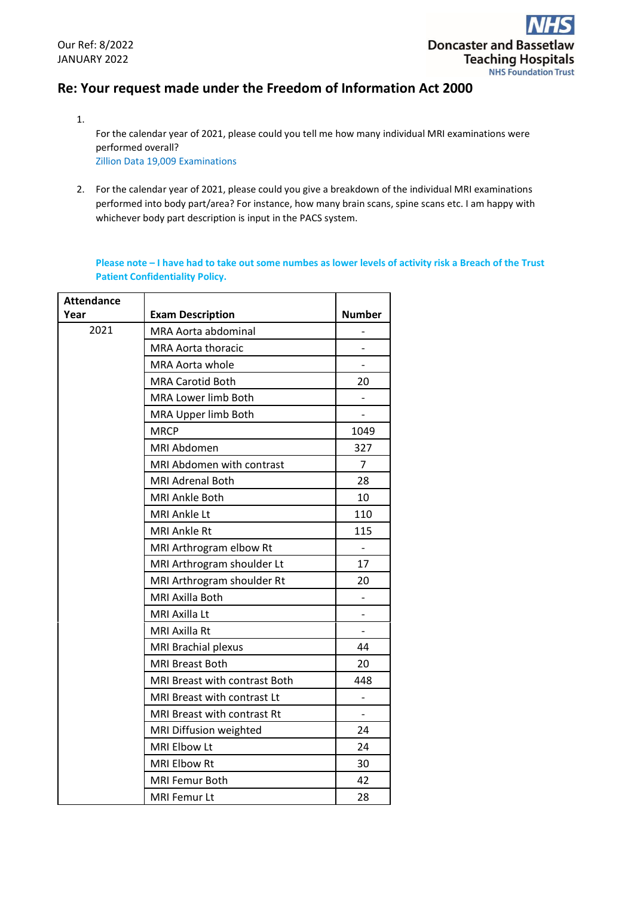# **Re: Your request made under the Freedom of Information Act 2000**

1. For the calendar year of 2021, please could you tell me how many individual MRI examinations were performed overall? Zillion Data 19,009 Examinations

2. For the calendar year of 2021, please could you give a breakdown of the individual MRI examinations performed into body part/area? For instance, how many brain scans, spine scans etc. I am happy with whichever body part description is input in the PACS system.

**Please note – I have had to take out some numbes as lower levels of activity risk a Breach of the Trust Patient Confidentiality Policy.**

| <b>Attendance</b> |                               |                          |
|-------------------|-------------------------------|--------------------------|
| Year              | <b>Exam Description</b>       | <b>Number</b>            |
| 2021              | MRA Aorta abdominal           |                          |
|                   | <b>MRA Aorta thoracic</b>     | -                        |
|                   | <b>MRA Aorta whole</b>        |                          |
|                   | <b>MRA Carotid Both</b>       | 20                       |
|                   | MRA Lower limb Both           |                          |
|                   | MRA Upper limb Both           |                          |
|                   | <b>MRCP</b>                   | 1049                     |
|                   | MRI Abdomen                   | 327                      |
|                   | MRI Abdomen with contrast     | 7                        |
|                   | MRI Adrenal Both              | 28                       |
|                   | <b>MRI Ankle Both</b>         | 10                       |
|                   | MRI Ankle Lt                  | 110                      |
|                   | <b>MRI Ankle Rt</b>           | 115                      |
|                   | MRI Arthrogram elbow Rt       |                          |
|                   | MRI Arthrogram shoulder Lt    | 17                       |
|                   | MRI Arthrogram shoulder Rt    | 20                       |
|                   | MRI Axilla Both               |                          |
|                   | MRI Axilla Lt                 |                          |
|                   | MRI Axilla Rt                 | $\overline{\phantom{0}}$ |
|                   | MRI Brachial plexus           | 44                       |
|                   | <b>MRI Breast Both</b>        | 20                       |
|                   | MRI Breast with contrast Both | 448                      |
|                   | MRI Breast with contrast Lt   |                          |
|                   | MRI Breast with contrast Rt   |                          |
|                   | MRI Diffusion weighted        | 24                       |
|                   | MRI Elbow Lt                  | 24                       |
|                   | MRI Elbow Rt                  | 30                       |
|                   | <b>MRI Femur Both</b>         | 42                       |
|                   | <b>MRI Femur Lt</b>           | 28                       |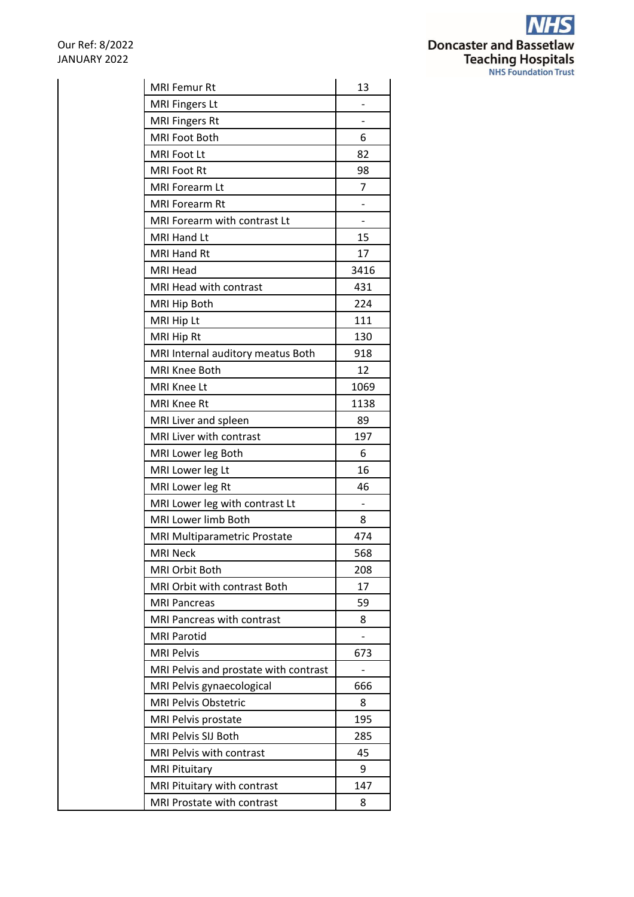

| <b>MRI Femur Rt</b>                   | 13                       |
|---------------------------------------|--------------------------|
| <b>MRI Fingers Lt</b>                 |                          |
| <b>MRI Fingers Rt</b>                 |                          |
| MRI Foot Both                         | 6                        |
| MRI Foot Lt                           | 82                       |
| <b>MRI Foot Rt</b>                    | 98                       |
| <b>MRI Forearm Lt</b>                 | 7                        |
| <b>MRI Forearm Rt</b>                 |                          |
| MRI Forearm with contrast Lt          | $\overline{\phantom{0}}$ |
| MRI Hand Lt                           | 15                       |
| MRI Hand Rt                           | 17                       |
| <b>MRI Head</b>                       | 3416                     |
| MRI Head with contrast                | 431                      |
| MRI Hip Both                          | 224                      |
| MRI Hip Lt                            | 111                      |
| MRI Hip Rt                            | 130                      |
| MRI Internal auditory meatus Both     | 918                      |
| <b>MRI Knee Both</b>                  | 12                       |
| MRI Knee Lt                           | 1069                     |
| <b>MRI Knee Rt</b>                    | 1138                     |
| MRI Liver and spleen                  | 89                       |
| MRI Liver with contrast               | 197                      |
| MRI Lower leg Both                    | 6                        |
| MRI Lower leg Lt                      | 16                       |
| MRI Lower leg Rt                      | 46                       |
| MRI Lower leg with contrast Lt        | -                        |
| MRI Lower limb Both                   | 8                        |
| MRI Multiparametric Prostate          | 474                      |
| <b>MRI Neck</b>                       | 568                      |
| <b>MRI Orbit Both</b>                 | 208                      |
| MRI Orbit with contrast Both          | 17                       |
| <b>MRI Pancreas</b>                   | 59                       |
| MRI Pancreas with contrast            | 8                        |
| <b>MRI Parotid</b>                    |                          |
| <b>MRI Pelvis</b>                     | 673                      |
| MRI Pelvis and prostate with contrast | $\qquad \qquad -$        |
| MRI Pelvis gynaecological             | 666                      |
| <b>MRI Pelvis Obstetric</b>           | 8                        |
| MRI Pelvis prostate                   | 195                      |
| MRI Pelvis SIJ Both                   | 285                      |
| MRI Pelvis with contrast              | 45                       |
| <b>MRI Pituitary</b>                  | 9                        |
| MRI Pituitary with contrast           | 147                      |
| MRI Prostate with contrast            | 8                        |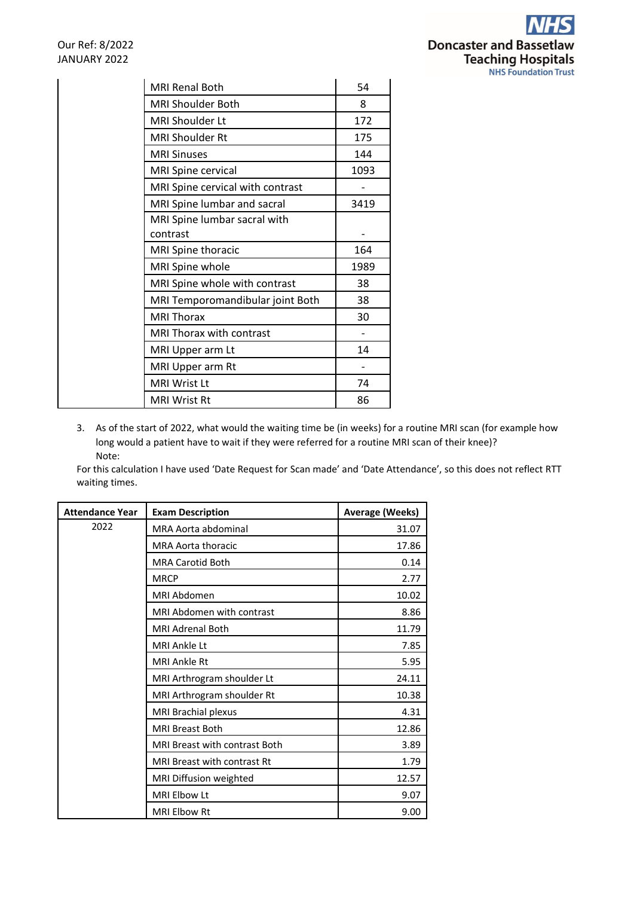

| <b>MRI Renal Both</b>            | 54   |
|----------------------------------|------|
| <b>MRI Shoulder Both</b>         | 8    |
| <b>MRI Shoulder Lt</b>           | 172  |
| MRI Shoulder Rt                  | 175  |
| <b>MRI Sinuses</b>               | 144  |
| MRI Spine cervical               | 1093 |
| MRI Spine cervical with contrast |      |
| MRI Spine lumbar and sacral      | 3419 |
| MRI Spine lumbar sacral with     |      |
| contrast                         |      |
| MRI Spine thoracic               | 164  |
| MRI Spine whole                  | 1989 |
| MRI Spine whole with contrast    | 38   |
| MRI Temporomandibular joint Both | 38   |
| <b>MRI Thorax</b>                | 30   |
| MRI Thorax with contrast         |      |
| MRI Upper arm Lt                 | 14   |
| MRI Upper arm Rt                 |      |
| <b>MRI Wrist Lt</b>              | 74   |
| <b>MRI Wrist Rt</b>              | 86   |

3. As of the start of 2022, what would the waiting time be (in weeks) for a routine MRI scan (for example how long would a patient have to wait if they were referred for a routine MRI scan of their knee)? Note:

For this calculation I have used 'Date Request for Scan made' and 'Date Attendance', so this does not reflect RTT waiting times.

| <b>Attendance Year</b> | <b>Exam Description</b>              | <b>Average (Weeks)</b> |
|------------------------|--------------------------------------|------------------------|
| 2022                   | MRA Aorta abdominal                  | 31.07                  |
|                        | <b>MRA Aorta thoracic</b>            | 17.86                  |
|                        | <b>MRA Carotid Both</b>              | 0.14                   |
|                        | <b>MRCP</b>                          | 2.77                   |
|                        | MRI Abdomen                          | 10.02                  |
|                        | MRI Abdomen with contrast            | 8.86                   |
|                        | <b>MRI Adrenal Both</b>              | 11.79                  |
|                        | <b>MRI Ankle Lt</b>                  | 7.85                   |
|                        | <b>MRI Ankle Rt</b>                  | 5.95                   |
|                        | MRI Arthrogram shoulder Lt           | 24.11                  |
|                        | MRI Arthrogram shoulder Rt           | 10.38                  |
|                        | MRI Brachial plexus                  | 4.31                   |
|                        | <b>MRI Breast Both</b>               | 12.86                  |
|                        | <b>MRI Breast with contrast Both</b> | 3.89                   |
|                        | <b>MRI Breast with contrast Rt</b>   | 1.79                   |
|                        | MRI Diffusion weighted               | 12.57                  |
|                        | MRI Elbow Lt                         | 9.07                   |
|                        | <b>MRI Elbow Rt</b>                  | 9.00                   |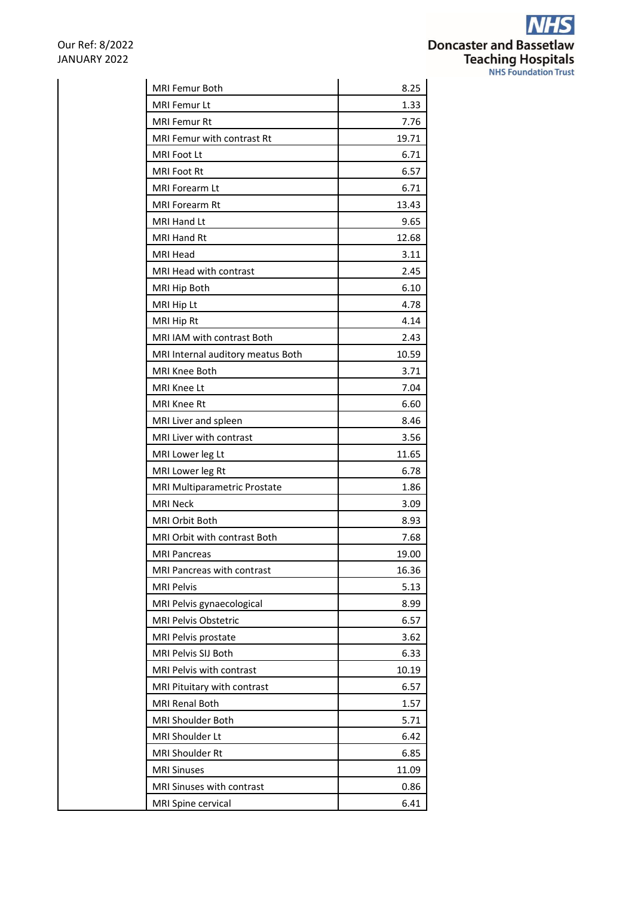**NHS Doncaster and Bassetlaw<br>Teaching Hospitals**<br>NHS Foundation Trust

| <b>MRI Femur Both</b>             | 8.25  |
|-----------------------------------|-------|
| <b>MRI Femur Lt</b>               | 1.33  |
| <b>MRI Femur Rt</b>               | 7.76  |
| <b>MRI Femur with contrast Rt</b> | 19.71 |
| MRI Foot Lt                       | 6.71  |
| MRI Foot Rt                       | 6.57  |
| <b>MRI Forearm Lt</b>             | 6.71  |
| <b>MRI Forearm Rt</b>             | 13.43 |
| <b>MRI Hand Lt</b>                | 9.65  |
| MRI Hand Rt                       | 12.68 |
| <b>MRI Head</b>                   | 3.11  |
| MRI Head with contrast            | 2.45  |
| MRI Hip Both                      | 6.10  |
| MRI Hip Lt                        | 4.78  |
| MRI Hip Rt                        | 4.14  |
| MRI IAM with contrast Both        | 2.43  |
| MRI Internal auditory meatus Both | 10.59 |
| MRI Knee Both                     | 3.71  |
| <b>MRI Knee Lt</b>                | 7.04  |
| MRI Knee Rt                       | 6.60  |
| MRI Liver and spleen              | 8.46  |
| MRI Liver with contrast           | 3.56  |
| MRI Lower leg Lt                  | 11.65 |
| MRI Lower leg Rt                  | 6.78  |
| MRI Multiparametric Prostate      | 1.86  |
| <b>MRI Neck</b>                   | 3.09  |
| <b>MRI Orbit Both</b>             | 8.93  |
| MRI Orbit with contrast Both      | 7.68  |
| <b>MRI Pancreas</b>               | 19.00 |
| MRI Pancreas with contrast        | 16.36 |
| <b>MRI Pelvis</b>                 | 5.13  |
| MRI Pelvis gynaecological         | 8.99  |
| <b>MRI Pelvis Obstetric</b>       | 6.57  |
| MRI Pelvis prostate               | 3.62  |
| MRI Pelvis SIJ Both               | 6.33  |
| MRI Pelvis with contrast          | 10.19 |
| MRI Pituitary with contrast       | 6.57  |
| <b>MRI Renal Both</b>             | 1.57  |
| <b>MRI Shoulder Both</b>          | 5.71  |
| MRI Shoulder Lt                   | 6.42  |
| MRI Shoulder Rt                   | 6.85  |
| <b>MRI Sinuses</b>                | 11.09 |
| MRI Sinuses with contrast         | 0.86  |
| MRI Spine cervical                | 6.41  |
|                                   |       |